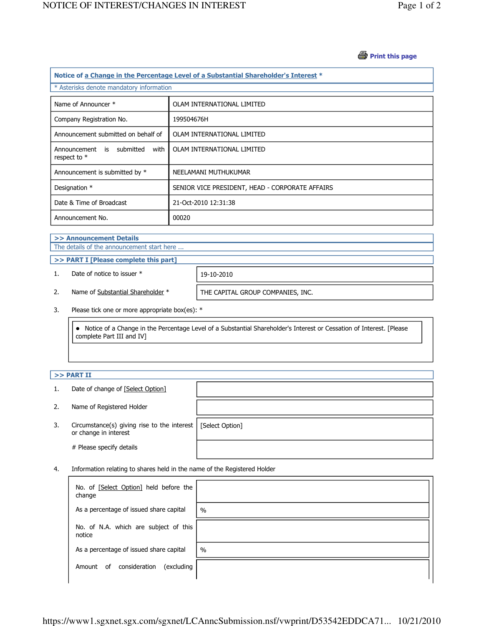## *A* Print this page

| Notice of a Change in the Percentage Level of a Substantial Shareholder's Interest * |                                                 |  |  |  |
|--------------------------------------------------------------------------------------|-------------------------------------------------|--|--|--|
| * Asterisks denote mandatory information                                             |                                                 |  |  |  |
| Name of Announcer *                                                                  | OLAM INTERNATIONAL LIMITED                      |  |  |  |
| Company Registration No.                                                             | 199504676H                                      |  |  |  |
| Announcement submitted on behalf of                                                  | OLAM INTERNATIONAL LIMITED                      |  |  |  |
| Announcement is submitted<br>with<br>respect to $*$                                  | OLAM INTERNATIONAL LIMITED                      |  |  |  |
| Announcement is submitted by *                                                       | NEELAMANI MUTHUKUMAR                            |  |  |  |
| Designation *                                                                        | SENIOR VICE PRESIDENT, HEAD - CORPORATE AFFAIRS |  |  |  |
| Date & Time of Broadcast                                                             | 21-Oct-2010 12:31:38                            |  |  |  |
| Announcement No.                                                                     | 00020                                           |  |  |  |

# >> Announcement Details

The details of the announcement start here ...

>> PART I [Please complete this part]

1. Date of notice to issuer \* 19-10-2010

2. Name of Substantial Shareholder \* THE CAPITAL GROUP COMPANIES, INC.

3. Please tick one or more appropriate box(es): \*

 Notice of a Change in the Percentage Level of a Substantial Shareholder's Interest or Cessation of Interest. [Please complete Part III and IV]

## $>>$  PART II

- 1. Date of change of [Select Option]
- 2. Name of Registered Holder
- 3. Circumstance(s) giving rise to the interest [Select Option] or change in interest

# Please specify details

4. Information relating to shares held in the name of the Registered Holder

| No. of [Select Option] held before the<br>change |               |
|--------------------------------------------------|---------------|
| As a percentage of issued share capital          | $\frac{0}{0}$ |
| No. of N.A. which are subject of this<br>notice  |               |
| As a percentage of issued share capital          | $\frac{0}{0}$ |
| consideration<br>(excluding<br>0f<br>Amount      |               |